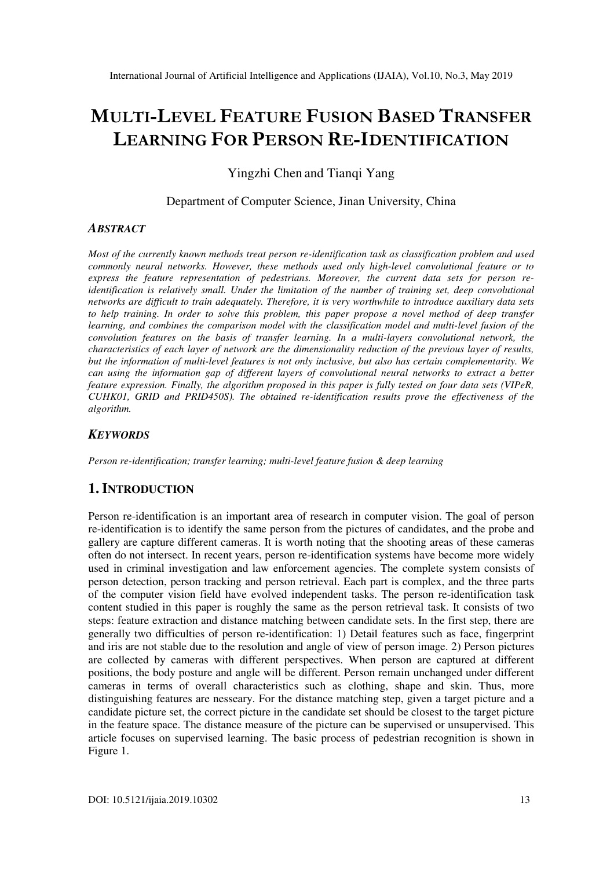# **MULTI-LEVEL FEATURE FUSION BASED TRANSFER LEARNING FOR PERSON RE-IDENTIFICATION**

Yingzhi Chen and Tianqi Yang

Department of Computer Science, Jinan University, China

#### *ABSTRACT*

*Most of the currently known methods treat person re-identification task as classification problem and used commonly neural networks. However, these methods used only high-level convolutional feature or to express the feature representation of pedestrians. Moreover, the current data sets for person reidentification is relatively small. Under the limitation of the number of training set, deep convolutional networks are difficult to train adequately. Therefore, it is very worthwhile to introduce auxiliary data sets to help training. In order to solve this problem, this paper propose a novel method of deep transfer learning, and combines the comparison model with the classification model and multi-level fusion of the convolution features on the basis of transfer learning. In a multi-layers convolutional network, the characteristics of each layer of network are the dimensionality reduction of the previous layer of results, but the information of multi-level features is not only inclusive, but also has certain complementarity. We can using the information gap of different layers of convolutional neural networks to extract a better feature expression. Finally, the algorithm proposed in this paper is fully tested on four data sets (VIPeR, CUHK01, GRID and PRID450S). The obtained re-identification results prove the effectiveness of the algorithm.* 

#### *KEYWORDS*

*Person re-identification; transfer learning; multi-level feature fusion & deep learning* 

## **1. INTRODUCTION**

Person re-identification is an important area of research in computer vision. The goal of person re-identification is to identify the same person from the pictures of candidates, and the probe and gallery are capture different cameras. It is worth noting that the shooting areas of these cameras often do not intersect. In recent years, person re-identification systems have become more widely used in criminal investigation and law enforcement agencies. The complete system consists of person detection, person tracking and person retrieval. Each part is complex, and the three parts of the computer vision field have evolved independent tasks. The person re-identification task content studied in this paper is roughly the same as the person retrieval task. It consists of two steps: feature extraction and distance matching between candidate sets. In the first step, there are generally two difficulties of person re-identification: 1) Detail features such as face, fingerprint and iris are not stable due to the resolution and angle of view of person image. 2) Person pictures are collected by cameras with different perspectives. When person are captured at different positions, the body posture and angle will be different. Person remain unchanged under different cameras in terms of overall characteristics such as clothing, shape and skin. Thus, more distinguishing features are nesseary. For the distance matching step, given a target picture and a candidate picture set, the correct picture in the candidate set should be closest to the target picture in the feature space. The distance measure of the picture can be supervised or unsupervised. This article focuses on supervised learning. The basic process of pedestrian recognition is shown in Figure 1.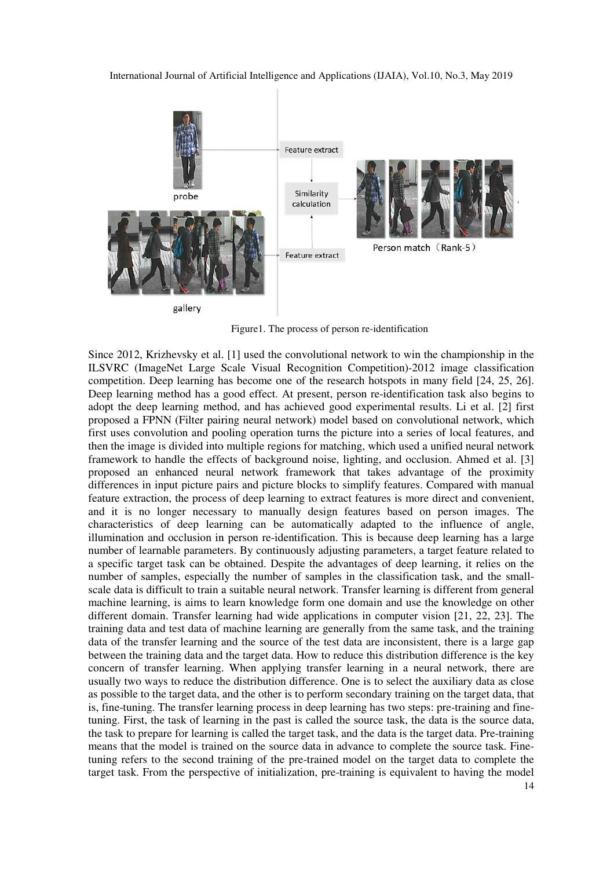

Figure1. The process of person re-identification

Since 2012, Krizhevsky et al. [1] used the convolutional network to win the championship in the ILSVRC (ImageNet Large Scale Visual Recognition Competition)-2012 image classification ILSVRC (ImageNet Large Scale Visual Recognition Competition)-2012 image classification competition. Deep learning has become one of the research hotspots in many field [24, 25, 26]. Deep learning method has a good effect. At present, person re-identification task also begins to adopt the deep learning method, and has achieved good experimental results. Li et al. [2] first proposed a FPNN (Filter pairing neural network) model based on convolutional network, which first uses convolution and pooling operation turns the picture into a series of local features, and then the image is divided into multiple regions for matching, which used a unified neural network framework to handle the effects of background noise, lighting, and occlusion. Ahmed et al. [3] proposed an enhanced neural network framework that takes advantage of the proximity differences in input picture pairs and picture blocks to simplify features. Compared with manual feature extraction, the process of deep learning to extract features is more direct and convenient, feature extraction, the process of deep learning to extract features is more direct and convenient, and it is no longer necessary to manually design features based on person images. The characteristics of deep learning can be automatically adapted to the influence of angle, illumination and occlusion in person re-identification. This is because deep learning has a large number of learnable parameters. By continuously adjusting parameters, a target feature related to a specific target task can be obtained. Despite the advantages of deep learning, it relies on the number of samples, especially the number of samples in the classification task, and the small number of samples, especially the number of samples in the classification task, and the small-<br>scale data is difficult to train a suitable neural network. Transfer learning is different from general machine learning, is aims to learn knowledge form one domain and use the knowledge on other machine learning, is aims to learn knowledge form one domain and use the knowledge on other different domain. Transfer learning had wide applications in computer vision [21, 22, 23]. The training data and test data of machine learning are generally from the same task, and the training data of the transfer learning and the source of the test data are inconsistent, there is a large gap between the training data and the target data. How to reduce this distribution difference is the key between the training data and the target data. How to reduce this distribution difference is the key concern of transfer learning. When applying transfer learning in a neural network, there are usually two ways to reduce the distribution difference. One is to select the auxiliary data as close as possible to the target data, and the other is to perform secondary training on the target data, that is, fine-tuning. The transfer learning process in deep learning has two steps: pre-training and finetuning. First, the task of learning in the past is called the source task, the data is the source data, the task to prepare for learning is called the target task, and the data is the target data. Pre-training means that the model is trained on the source data in advance to complete the source task. Finetuning refers to the second training of the pre-trained model on the target data to complete the tuning refers to the second training of the pre-trained model on the target data to complete the target task. From the perspective of initialization, pre-training is equivalent to having the model re-identification. This is because deep learning has a large<br>ontinuously adjusting parameters, a target feature related to<br>. Despite the advantages of deep learning, it relies on the<br>mber of samples in the classification t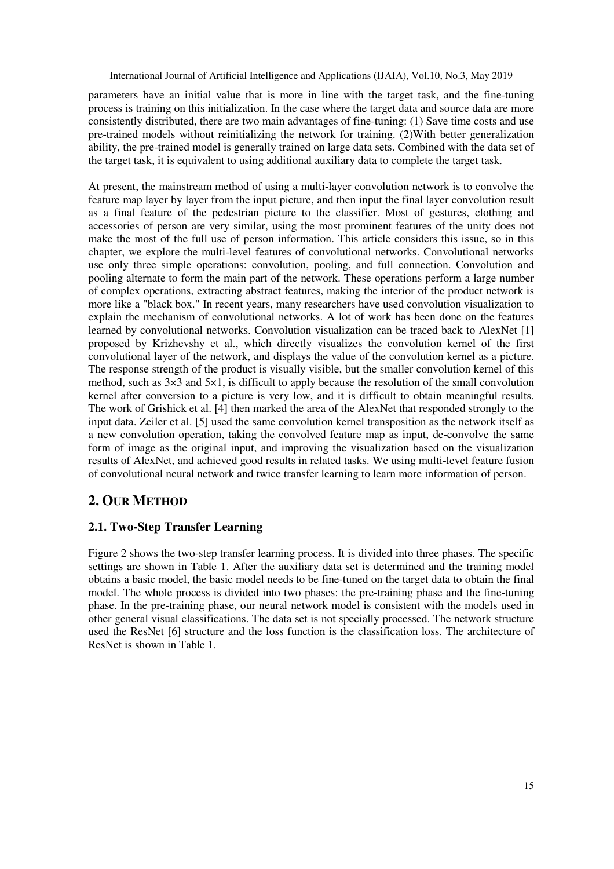parameters have an initial value that is more in line with the target task, and the fine-tuning process is training on this initialization. In the case where the target data and source data are more consistently distributed, there are two main advantages of fine-tuning: (1) Save time costs and use pre-trained models without reinitializing the network for training. (2)With better generalization ability, the pre-trained model is generally trained on large data sets. Combined with the data set of the target task, it is equivalent to using additional auxiliary data to complete the target task.

At present, the mainstream method of using a multi-layer convolution network is to convolve the feature map layer by layer from the input picture, and then input the final layer convolution result as a final feature of the pedestrian picture to the classifier. Most of gestures, clothing and accessories of person are very similar, using the most prominent features of the unity does not make the most of the full use of person information. This article considers this issue, so in this chapter, we explore the multi-level features of convolutional networks. Convolutional networks use only three simple operations: convolution, pooling, and full connection. Convolution and pooling alternate to form the main part of the network. These operations perform a large number of complex operations, extracting abstract features, making the interior of the product network is more like a "black box." In recent years, many researchers have used convolution visualization to explain the mechanism of convolutional networks. A lot of work has been done on the features learned by convolutional networks. Convolution visualization can be traced back to AlexNet [1] proposed by Krizhevshy et al., which directly visualizes the convolution kernel of the first convolutional layer of the network, and displays the value of the convolution kernel as a picture. The response strength of the product is visually visible, but the smaller convolution kernel of this method, such as  $3\times3$  and  $5\times1$ , is difficult to apply because the resolution of the small convolution kernel after conversion to a picture is very low, and it is difficult to obtain meaningful results. The work of Grishick et al. [4] then marked the area of the AlexNet that responded strongly to the input data. Zeiler et al. [5] used the same convolution kernel transposition as the network itself as a new convolution operation, taking the convolved feature map as input, de-convolve the same form of image as the original input, and improving the visualization based on the visualization results of AlexNet, and achieved good results in related tasks. We using multi-level feature fusion of convolutional neural network and twice transfer learning to learn more information of person.

# **2. OUR METHOD**

## **2.1. Two-Step Transfer Learning**

Figure 2 shows the two-step transfer learning process. It is divided into three phases. The specific settings are shown in Table 1. After the auxiliary data set is determined and the training model obtains a basic model, the basic model needs to be fine-tuned on the target data to obtain the final model. The whole process is divided into two phases: the pre-training phase and the fine-tuning phase. In the pre-training phase, our neural network model is consistent with the models used in other general visual classifications. The data set is not specially processed. The network structure used the ResNet [6] structure and the loss function is the classification loss. The architecture of ResNet is shown in Table 1.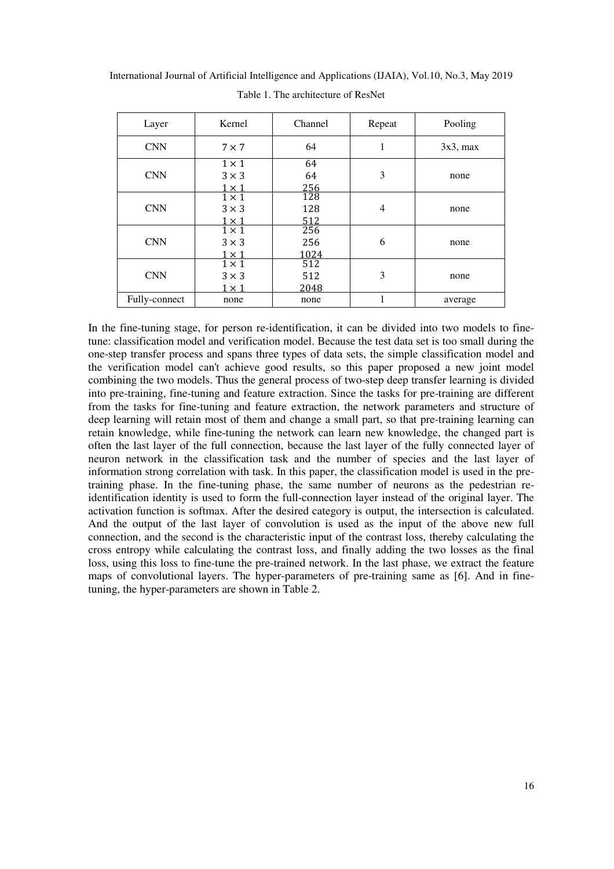| Layer         | Kernel                                     | Channel            | Repeat         | Pooling     |  |
|---------------|--------------------------------------------|--------------------|----------------|-------------|--|
| <b>CNN</b>    | $7 \times 7$                               | 64                 |                | $3x3$ , max |  |
| <b>CNN</b>    | $1 \times 1$<br>$3 \times 3$<br>$1\times1$ | 64<br>64<br>256    | 3              | none        |  |
| <b>CNN</b>    | $1 \times 1$<br>$3 \times 3$<br>$1\times1$ | 128<br>128<br>512  | $\overline{4}$ | none        |  |
| <b>CNN</b>    | $1 \times 1$<br>$3 \times 3$<br>$1\times1$ | 256<br>256<br>1024 | 6              | none        |  |
| <b>CNN</b>    | $1 \times 1$<br>$3 \times 3$<br>$1\times1$ | 512<br>512<br>2048 | 3              | none        |  |
| Fully-connect | none                                       | none               |                | average     |  |

International Journal of Artificial Intelligence and Applications (IJAIA), Vol.10, No.3, May 2019 Table 1. The architecture of ResNet

In the fine-tuning stage, for person re-identification, it can be divided into two models to finetune: classification model and verification model. Because the test data set is too small during the one-step transfer process and spans three types of data sets, the simple classification model and the verification model can't achieve good results, so this paper proposed a new joint model combining the two models. Thus the general process of two-step deep transfer learning is divided into pre-training, fine-tuning and feature extraction. Since the tasks for pre-training are different from the tasks for fine-tuning and feature extraction, the network parameters and structure of deep learning will retain most of them and change a small part, so that pre-training learning can retain knowledge, while fine-tuning the network can learn new knowledge, the changed part is often the last layer of the full connection, because the last layer of the fully connected layer of neuron network in the classification task and the number of species and the last layer of information strong correlation with task. In this paper, the classification model is used in the pretraining phase. In the fine-tuning phase, the same number of neurons as the pedestrian reidentification identity is used to form the full-connection layer instead of the original layer. The activation function is softmax. After the desired category is output, the intersection is calculated. And the output of the last layer of convolution is used as the input of the above new full connection, and the second is the characteristic input of the contrast loss, thereby calculating the cross entropy while calculating the contrast loss, and finally adding the two losses as the final loss, using this loss to fine-tune the pre-trained network. In the last phase, we extract the feature maps of convolutional layers. The hyper-parameters of pre-training same as [6]. And in finetuning, the hyper-parameters are shown in Table 2.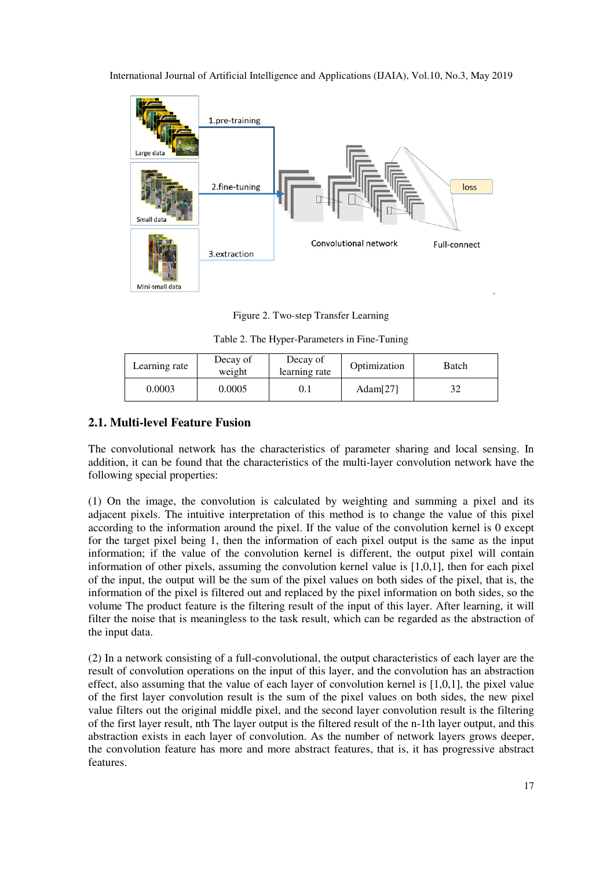

Figure 2. Two-step Transfer Learning

Table 2. The Hyper Hyper-Parameters in Fine-Tuning

| Learning rate | Decay of<br>weight | Decay of<br>learning rate | Optimization | Batch |  |  |
|---------------|--------------------|---------------------------|--------------|-------|--|--|
| 0.0003        | 0.0005             | 0. l                      | Adam $[27]$  | 32    |  |  |

## **2.1. Multi-level Feature Fusion level**

The convolutional network has the characteristics of parameter sharing and local sensing. In addition, it can be found that the characteristics of the multi-layer convolution network have the following special properties:

 $(1)$  On the image, the convolution is calculated by weighting and summing a pixel and its adjacent pixels. The intuitive interpretation of this method is to change the value of this pixel according to the information around the pixel. If the value of the convolution kernel is 0 except for the target pixel being 1, then the information of each pixel output is the same as the input information; if the value of the convolution kernel is different, the output pixel will contain information of other pixels, assuming the convolution kernel value is  $[1,0,1]$ , then for each pixel of the input, the output will be the sum of the pixel values on both sides of the pixel, that is, the information of the pixel is filtered out and replaced by the pixel information on both sides, so the volume The product feature is the filtering result of the input of this layer. After learning, it will filter the noise that is meaningless to the task result, which can be regarded as the abstraction of the input data. eature is the filtering result of the input of this layer. After learning, it will<br>meaningless to the task result, which can be regarded as the abstraction of<br>sting of a full-convolutional, the output characteristics of ea the multi-layer convolution network have the<br>by weighting and summing a pixel and its<br>method is to change the value of this pixel<br>e value of the convolution kernel is 0 except<br>of each pixel output is the same as the input

(2) In a network consisting of a full result of convolution operations on the input of this layer, and the convolution has an abstraction effect, also assuming that the value of each layer of convolution kernel is [1,0, of the first layer convolution result is the sum of the pixel values on both sides, the new pixel value filters out the original middle pixel, and the second layer convolution result is the filtering of the first layer result, nth The layer output is the filtered result of the n-1th layer output, and this abstraction exists in each layer of convolution. As the number of network layers grows deeper, the convolution feature has more and more abstract features, that is, it has progressive abstract features.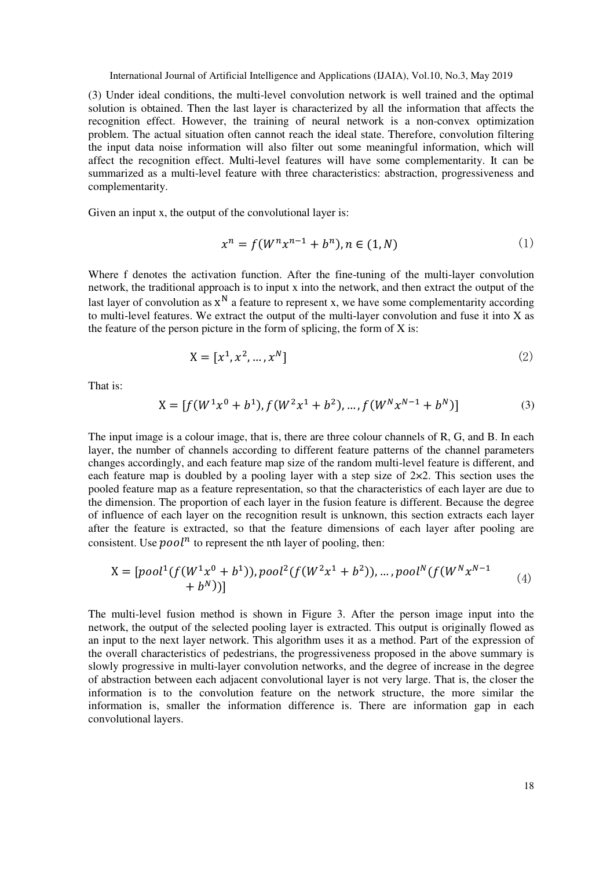(3) Under ideal conditions, the multi-level convolution network is well trained and the optimal solution is obtained. Then the last layer is characterized by all the information that affects the recognition effect. However, the training of neural network is a non-convex optimization problem. The actual situation often cannot reach the ideal state. Therefore, convolution filtering the input data noise information will also filter out some meaningful information, which will affect the recognition effect. Multi-level features will have some complementarity. It can be summarized as a multi-level feature with three characteristics: abstraction, progressiveness and complementarity.

Given an input x, the output of the convolutional layer is:

$$
x^n = f(W^n x^{n-1} + b^n), n \in (1, N)
$$
 (1)

Where f denotes the activation function. After the fine-tuning of the multi-layer convolution network, the traditional approach is to input x into the network, and then extract the output of the last layer of convolution as  $x^N$  a feature to represent x, we have some complementarity according to multi-level features. We extract the output of the multi-layer convolution and fuse it into  $X$  as the feature of the person picture in the form of splicing, the form of X is:

$$
X = [x^1, x^2, ..., x^N]
$$
 (2)

That is:

$$
X = [f(W^{1}x^{0} + b^{1}), f(W^{2}x^{1} + b^{2}), ..., f(W^{N}x^{N-1} + b^{N})]
$$
\n(3)

The input image is a colour image, that is, there are three colour channels of R, G, and B. In each layer, the number of channels according to different feature patterns of the channel parameters changes accordingly, and each feature map size of the random multi-level feature is different, and each feature map is doubled by a pooling layer with a step size of  $2\times 2$ . This section uses the pooled feature map as a feature representation, so that the characteristics of each layer are due to the dimension. The proportion of each layer in the fusion feature is different. Because the degree of influence of each layer on the recognition result is unknown, this section extracts each layer after the feature is extracted, so that the feature dimensions of each layer after pooling are consistent. Use  $pool<sup>n</sup>$  to represent the nth layer of pooling, then:

$$
X = [pool1(f(W1x0 + b1)), pool2(f(W2x1 + b2)), ..., poolN(f(WNxN-1 + bN))]
$$
\n(4)

The multi-level fusion method is shown in Figure 3. After the person image input into the network, the output of the selected pooling layer is extracted. This output is originally flowed as an input to the next layer network. This algorithm uses it as a method. Part of the expression of the overall characteristics of pedestrians, the progressiveness proposed in the above summary is slowly progressive in multi-layer convolution networks, and the degree of increase in the degree of abstraction between each adjacent convolutional layer is not very large. That is, the closer the information is to the convolution feature on the network structure, the more similar the information is, smaller the information difference is. There are information gap in each convolutional layers.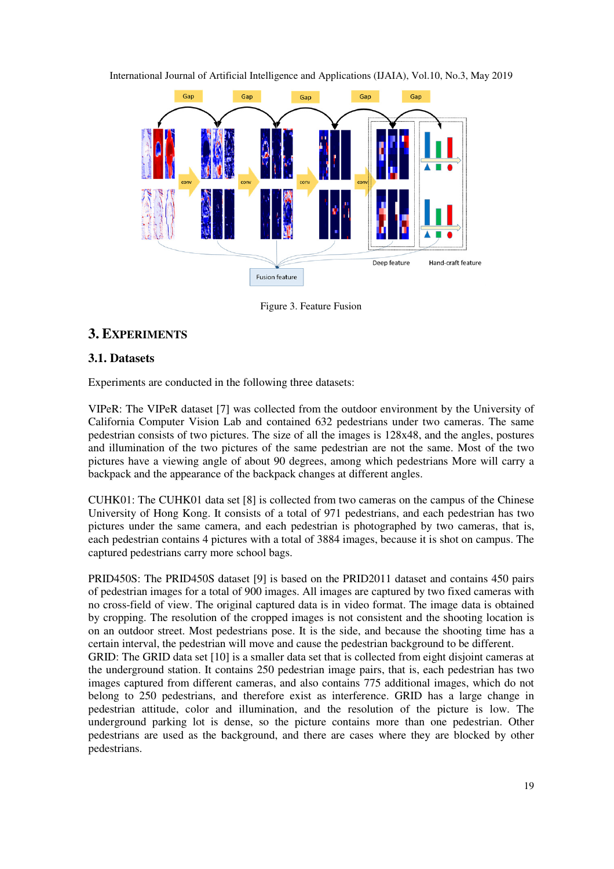

Figure 3. Feature Fusion

# **3. EXPERIMENTS**

## **3.1. Datasets**

Experiments are conducted in the following three datasets:

VIPeR: The VIPeR dataset [7] was collected from the outdoor environment by the University of California Computer Vision Lab and contained 632 pedestrians under two cameras. The same pedestrian consists of two pictures. The size of all the images is 128x48, and the angles, postures and illumination of the two pictures of the same pedestrian are not the same. Most of the two pictures have a viewing angle of about 90 degrees, among which pedestrians More will carry a and illumination of the two pictures of the same pedestrian are not the pictures have a viewing angle of about 90 degrees, among which pedest backpack and the appearance of the backpack changes at different angles. ] was collected from the outdoor environment by the University of Lab and contained 632 pedestrians under two cameras. The same tures. The size of all the images is 128x48, and the angles, postures inctures of the same ped

CUHK01: The CUHK01 data set [8 : [8] is collected from two cameras on the campus of the Chinese University of Hong Kong. It consists of a total of 971 pedestrians, and each pedestrian has two pictures under the same camera, and each pedestrian is photographed by two cameras, that is, each pedestrian contains 4 pictures with a total of 3884 images, because it is shot on campus. The captured pedestrians carry more school bags.

PRID450S: The PRID450S dataset [9] is based on the PRID2011 dataset and contains of pedestrian images for a total of 900 images. All images are captured by two fixed cameras with no cross-field of view. The original captured data is in video format. The image data is obtained no cross-field of view. The original captured data is in video format. The image data is obtained<br>by cropping. The resolution of the cropped images is not consistent and the shooting location is on an outdoor street. Most pedestrians pose. It is the side, and because the shooting time has a certain interval, the pedestrian will move and cause the pedestrian background to be different.

GRID: The GRID data set [10] is a smaller data set that is collected from eight disjoint cameras at the underground station. It contains 250 pedestrian image pairs, that is, each pedestrian has two images captured from different cameras, and also contains 775 additional images, which do not belong to 250 pedestrians, and therefore exist as interference. GRID has a large change in pedestrian attitude, color and illumination, and the resolution of the picture is low. The underground parking lot is dense, so the picture contains more than one pedestrian. Other pedestrians are used as the background, and there are cases where they are pedestrians. ] is a smaller data set that is collected from eight disjoint cameras at ntains 250 pedestrian image pairs, that is, each pedestrian has two to cameras, and also contains 775 additional images, which do not nd therefore ex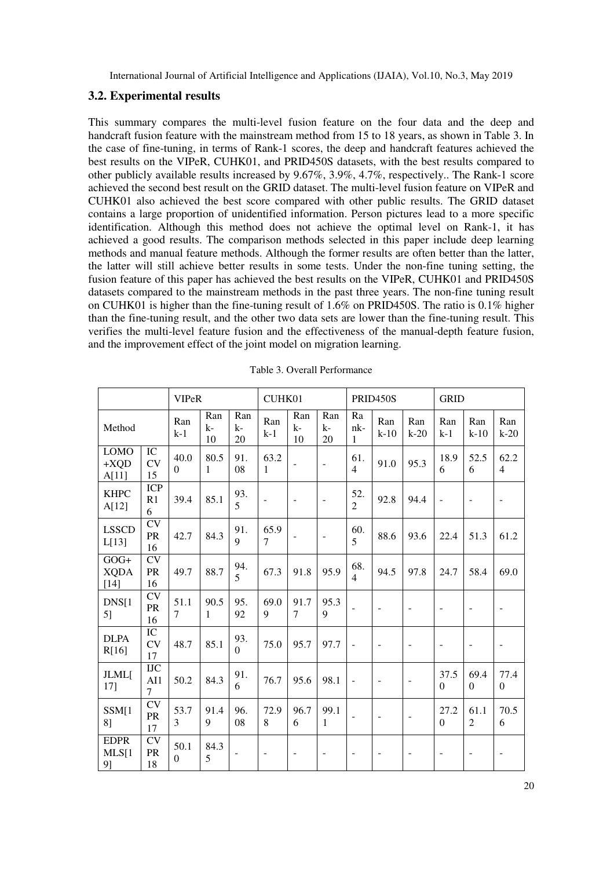#### **3.2. Experimental results**

This summary compares the multi-level fusion feature on the four data and the deep and handcraft fusion feature with the mainstream method from 15 to 18 years, as shown in Table 3. In the case of fine-tuning, in terms of Rank-1 scores, the deep and handcraft features achieved the best results on the VIPeR, CUHK01, and PRID450S datasets, with the best results compared to other publicly available results increased by 9.67%, 3.9%, 4.7%, respectively.. The Rank-1 score achieved the second best result on the GRID dataset. The multi-level fusion feature on VIPeR and CUHK01 also achieved the best score compared with other public results. The GRID dataset contains a large proportion of unidentified information. Person pictures lead to a more specific identification. Although this method does not achieve the optimal level on Rank-1, it has achieved a good results. The comparison methods selected in this paper include deep learning methods and manual feature methods. Although the former results are often better than the latter, the latter will still achieve better results in some tests. Under the non-fine tuning setting, the fusion feature of this paper has achieved the best results on the VIPeR, CUHK01 and PRID450S datasets compared to the mainstream methods in the past three years. The non-fine tuning result on CUHK01 is higher than the fine-tuning result of 1.6% on PRID450S. The ratio is 0.1% higher than the fine-tuning result, and the other two data sets are lower than the fine-tuning result. This verifies the multi-level feature fusion and the effectiveness of the manual-depth feature fusion, and the improvement effect of the joint model on migration learning.

|                                 | <b>VIPeR</b>                 |                        |                   | CUHK01                |                        |                          | PRID450S                 |                          |                          | <b>GRID</b>              |                          |                          |                          |
|---------------------------------|------------------------------|------------------------|-------------------|-----------------------|------------------------|--------------------------|--------------------------|--------------------------|--------------------------|--------------------------|--------------------------|--------------------------|--------------------------|
| Method                          |                              | Ran<br>$k-1$           | Ran<br>$k-$<br>10 | Ran<br>$k-$<br>20     | Ran<br>$k-1$           | Ran<br>$k-$<br>10        | Ran<br>$k-$<br>20        | Ra<br>nk-<br>1           | Ran<br>$k-10$            | Ran<br>$k-20$            | Ran<br>$k-1$             | Ran<br>$k-10$            | Ran<br>$k-20$            |
| <b>LOMO</b><br>$+XQD$<br>A[11]  | IC<br><b>CV</b><br>15        | 40.0<br>$\overline{0}$ | 80.5<br>1         | 91.<br>08             | 63.2<br>$\mathbf{1}$   | ÷,                       | $\overline{\phantom{a}}$ | 61.<br>$\overline{4}$    | 91.0                     | 95.3                     | 18.9<br>6                | 52.5<br>6                | 62.2<br>$\overline{4}$   |
| <b>KHPC</b><br>A[12]            | <b>ICP</b><br>R1<br>6        | 39.4                   | 85.1              | 93.<br>5              |                        | $\overline{\phantom{a}}$ | $\overline{\phantom{a}}$ | 52.<br>$\overline{2}$    | 92.8                     | 94.4                     | $\sim$                   |                          | $\overline{\phantom{m}}$ |
| <b>LSSCD</b><br>L[13]           | CV<br>PR<br>16               | 42.7                   | 84.3              | 91.<br>9              | 65.9<br>$\overline{7}$ | $\overline{\phantom{a}}$ | $\overline{\phantom{a}}$ | 60.<br>5                 | 88.6                     | 93.6                     | 22.4                     | 51.3                     | 61.2                     |
| $GOG+$<br><b>XQDA</b><br>$[14]$ | <b>CV</b><br><b>PR</b><br>16 | 49.7                   | 88.7              | 94.<br>5              | 67.3                   | 91.8                     | 95.9                     | 68.<br>$\overline{4}$    | 94.5                     | 97.8                     | 24.7                     | 58.4                     | 69.0                     |
| DNS[1]<br>5]                    | <b>CV</b><br>PR<br>16        | 51.1<br>$\overline{7}$ | 90.5<br>1         | 95.<br>92             | 69.0<br>9              | 91.7<br>7                | 95.3<br>9                |                          | $\blacksquare$           | $\overline{\phantom{a}}$ | $\overline{\phantom{a}}$ | $\overline{a}$           | $\overline{\phantom{a}}$ |
| <b>DLPA</b><br>R[16]            | IC<br><b>CV</b><br>17        | 48.7                   | 85.1              | 93.<br>$\overline{0}$ | 75.0                   | 95.7                     | 97.7                     | $\sim$                   | $\overline{a}$           | $\overline{a}$           | $\blacksquare$           | $\overline{a}$           | $\overline{\phantom{a}}$ |
| <b>JLML</b><br>$17$ ]           | <b>IJC</b><br>AI1<br>7       | 50.2                   | 84.3              | 91.<br>6              | 76.7                   | 95.6                     | 98.1                     | $\sim$                   | $\overline{\phantom{a}}$ | $\overline{\phantom{a}}$ | 37.5<br>$\overline{0}$   | 69.4<br>$\mathbf{0}$     | 77.4<br>$\Omega$         |
| SSM[1<br>8]                     | <b>CV</b><br>PR<br>17        | 53.7<br>3              | 91.4<br>9         | 96.<br>08             | 72.9<br>8              | 96.7<br>6                | 99.1<br>1                | $\blacksquare$           | $\overline{\phantom{a}}$ | $\overline{\phantom{a}}$ | 27.2<br>$\boldsymbol{0}$ | 61.1<br>$\overline{c}$   | 70.5<br>6                |
| <b>EDPR</b><br>MLS[1]<br>9]     | <b>CV</b><br><b>PR</b><br>18 | 50.1<br>$\Omega$       | 84.3<br>5         | $\overline{a}$        | $\overline{a}$         | $\overline{\phantom{m}}$ | $\overline{\phantom{m}}$ | $\overline{\phantom{a}}$ | $\overline{\phantom{0}}$ | $\overline{\phantom{a}}$ | $\overline{\phantom{a}}$ | $\overline{\phantom{0}}$ | $\overline{\phantom{m}}$ |

Table 3. Overall Performance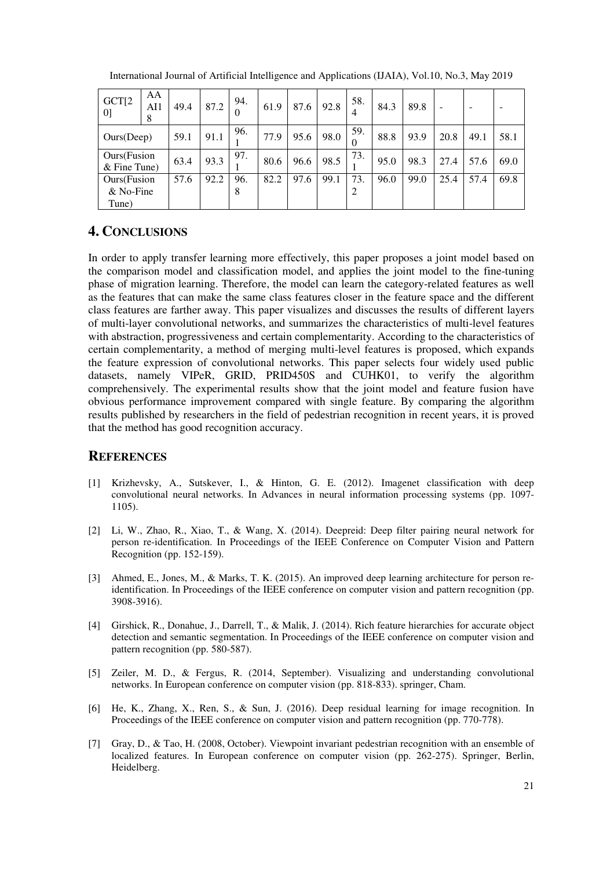| GCT[2]<br>[0]                 | AA<br>AI1<br>8 | 49.4 | 87.2 | 94.<br>$\theta$ | 61.9 | 87.6 | 92.8 | 58.<br>4 | 84.3 | 89.8 |      |      |      |
|-------------------------------|----------------|------|------|-----------------|------|------|------|----------|------|------|------|------|------|
| Ours(Deep)                    |                | 59.1 | 91.1 | 96.             | 77.9 | 95.6 | 98.0 | 59.<br>0 | 88.8 | 93.9 | 20.8 | 49.1 | 58.1 |
| Ours(Fusion<br>$&$ Fine Tune) |                | 63.4 | 93.3 | 97.             | 80.6 | 96.6 | 98.5 | 73.      | 95.0 | 98.3 | 27.4 | 57.6 | 69.0 |
| Ours(Fusion                   |                | 57.6 | 92.2 | 96.             | 82.2 | 97.6 | 99.1 | 73.      | 96.0 | 99.0 | 25.4 | 57.4 | 69.8 |
| $& No\text{-}Fine$<br>Tune)   |                |      |      | 8               |      |      |      | 2        |      |      |      |      |      |

International Journal of Artificial Intelligence and Applications (IJAIA), Vol.10, No.3, May 2019

# **4. CONCLUSIONS**

In order to apply transfer learning more effectively, this paper proposes a joint model based on the comparison model and classification model, and applies the joint model to the fine-tuning phase of migration learning. Therefore, the model can learn the category-related features as well as the features that can make the same class features closer in the feature space and the different class features are farther away. This paper visualizes and discusses the results of different layers of multi-layer convolutional networks, and summarizes the characteristics of multi-level features with abstraction, progressiveness and certain complementarity. According to the characteristics of certain complementarity, a method of merging multi-level features is proposed, which expands the feature expression of convolutional networks. This paper selects four widely used public datasets, namely VIPeR, GRID, PRID450S and CUHK01, to verify the algorithm comprehensively. The experimental results show that the joint model and feature fusion have obvious performance improvement compared with single feature. By comparing the algorithm results published by researchers in the field of pedestrian recognition in recent years, it is proved that the method has good recognition accuracy.

# **REFERENCES**

- [1] Krizhevsky, A., Sutskever, I., & Hinton, G. E. (2012). Imagenet classification with deep convolutional neural networks. In Advances in neural information processing systems (pp. 1097- 1105).
- [2] Li, W., Zhao, R., Xiao, T., & Wang, X. (2014). Deepreid: Deep filter pairing neural network for person re-identification. In Proceedings of the IEEE Conference on Computer Vision and Pattern Recognition (pp. 152-159).
- [3] Ahmed, E., Jones, M., & Marks, T. K. (2015). An improved deep learning architecture for person reidentification. In Proceedings of the IEEE conference on computer vision and pattern recognition (pp. 3908-3916).
- [4] Girshick, R., Donahue, J., Darrell, T., & Malik, J. (2014). Rich feature hierarchies for accurate object detection and semantic segmentation. In Proceedings of the IEEE conference on computer vision and pattern recognition (pp. 580-587).
- [5] Zeiler, M. D., & Fergus, R. (2014, September). Visualizing and understanding convolutional networks. In European conference on computer vision (pp. 818-833). springer, Cham.
- [6] He, K., Zhang, X., Ren, S., & Sun, J. (2016). Deep residual learning for image recognition. In Proceedings of the IEEE conference on computer vision and pattern recognition (pp. 770-778).
- [7] Gray, D., & Tao, H. (2008, October). Viewpoint invariant pedestrian recognition with an ensemble of localized features. In European conference on computer vision (pp. 262-275). Springer, Berlin, Heidelberg.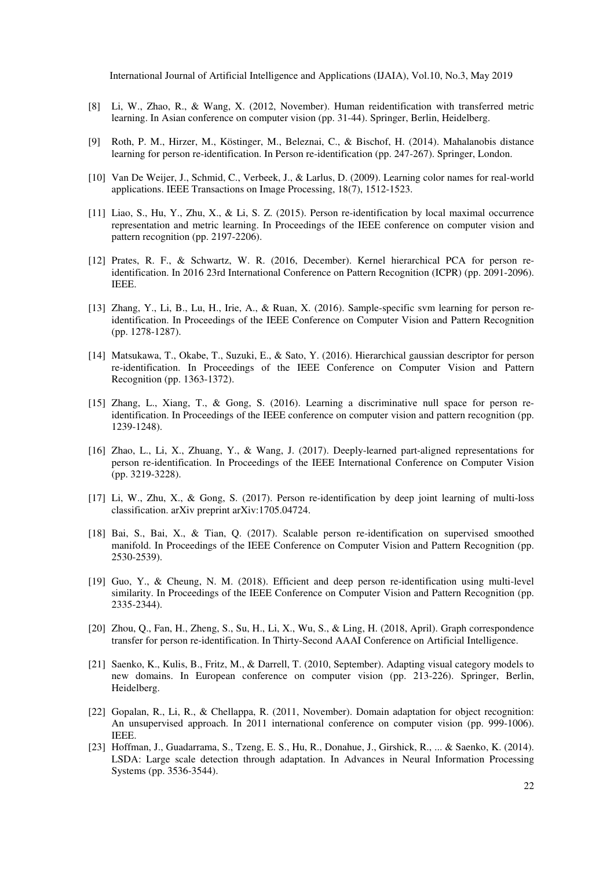- [8] Li, W., Zhao, R., & Wang, X. (2012, November). Human reidentification with transferred metric learning. In Asian conference on computer vision (pp. 31-44). Springer, Berlin, Heidelberg.
- [9] Roth, P. M., Hirzer, M., Köstinger, M., Beleznai, C., & Bischof, H. (2014). Mahalanobis distance learning for person re-identification. In Person re-identification (pp. 247-267). Springer, London.
- [10] Van De Weijer, J., Schmid, C., Verbeek, J., & Larlus, D. (2009). Learning color names for real-world applications. IEEE Transactions on Image Processing, 18(7), 1512-1523.
- [11] Liao, S., Hu, Y., Zhu, X., & Li, S. Z. (2015). Person re-identification by local maximal occurrence representation and metric learning. In Proceedings of the IEEE conference on computer vision and pattern recognition (pp. 2197-2206).
- [12] Prates, R. F., & Schwartz, W. R. (2016, December). Kernel hierarchical PCA for person reidentification. In 2016 23rd International Conference on Pattern Recognition (ICPR) (pp. 2091-2096). IEEE.
- [13] Zhang, Y., Li, B., Lu, H., Irie, A., & Ruan, X. (2016). Sample-specific svm learning for person reidentification. In Proceedings of the IEEE Conference on Computer Vision and Pattern Recognition (pp. 1278-1287).
- [14] Matsukawa, T., Okabe, T., Suzuki, E., & Sato, Y. (2016). Hierarchical gaussian descriptor for person re-identification. In Proceedings of the IEEE Conference on Computer Vision and Pattern Recognition (pp. 1363-1372).
- [15] Zhang, L., Xiang, T., & Gong, S. (2016). Learning a discriminative null space for person reidentification. In Proceedings of the IEEE conference on computer vision and pattern recognition (pp. 1239-1248).
- [16] Zhao, L., Li, X., Zhuang, Y., & Wang, J. (2017). Deeply-learned part-aligned representations for person re-identification. In Proceedings of the IEEE International Conference on Computer Vision (pp. 3219-3228).
- [17] Li, W., Zhu, X., & Gong, S. (2017). Person re-identification by deep joint learning of multi-loss classification. arXiv preprint arXiv:1705.04724.
- [18] Bai, S., Bai, X., & Tian, Q. (2017). Scalable person re-identification on supervised smoothed manifold. In Proceedings of the IEEE Conference on Computer Vision and Pattern Recognition (pp. 2530-2539).
- [19] Guo, Y., & Cheung, N. M. (2018). Efficient and deep person re-identification using multi-level similarity. In Proceedings of the IEEE Conference on Computer Vision and Pattern Recognition (pp. 2335-2344).
- [20] Zhou, Q., Fan, H., Zheng, S., Su, H., Li, X., Wu, S., & Ling, H. (2018, April). Graph correspondence transfer for person re-identification. In Thirty-Second AAAI Conference on Artificial Intelligence.
- [21] Saenko, K., Kulis, B., Fritz, M., & Darrell, T. (2010, September). Adapting visual category models to new domains. In European conference on computer vision (pp. 213-226). Springer, Berlin, Heidelberg.
- [22] Gopalan, R., Li, R., & Chellappa, R. (2011, November). Domain adaptation for object recognition: An unsupervised approach. In 2011 international conference on computer vision (pp. 999-1006). IEEE.
- [23] Hoffman, J., Guadarrama, S., Tzeng, E. S., Hu, R., Donahue, J., Girshick, R., ... & Saenko, K. (2014). LSDA: Large scale detection through adaptation. In Advances in Neural Information Processing Systems (pp. 3536-3544).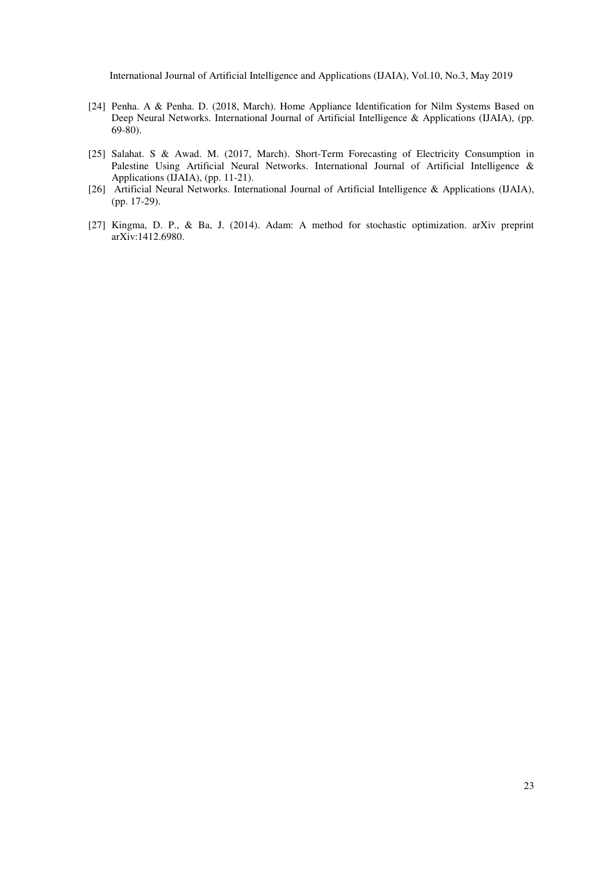- [24] Penha. A & Penha. D. (2018, March). Home Appliance Identification for Nilm Systems Based on Deep Neural Networks. International Journal of Artificial Intelligence & Applications (IJAIA), (pp. 69-80).
- [25] Salahat. S & Awad. M. (2017, March). Short-Term Forecasting of Electricity Consumption in Palestine Using Artificial Neural Networks. International Journal of Artificial Intelligence & Applications (IJAIA), (pp. 11-21).
- [26] Artificial Neural Networks. International Journal of Artificial Intelligence & Applications (IJAIA), (pp. 17-29).
- [27] Kingma, D. P., & Ba, J. (2014). Adam: A method for stochastic optimization. arXiv preprint arXiv:1412.6980.